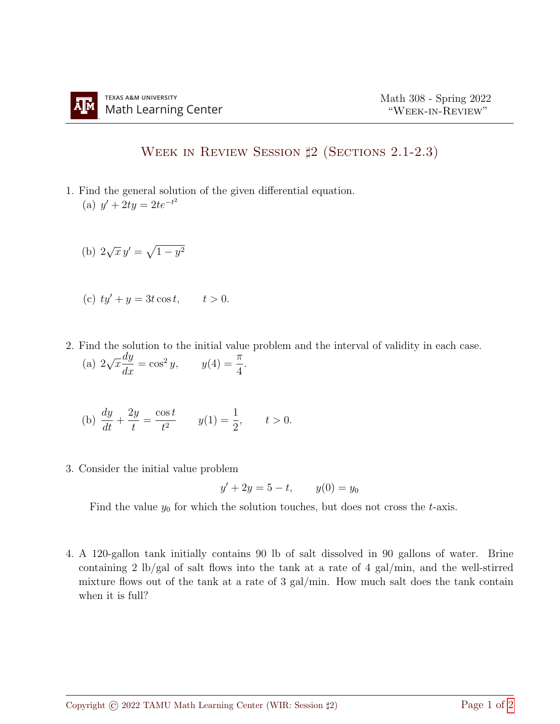## Week in Review Session ♯2 (Sections 2.1-2.3)

- 1. Find the general solution of the given differential equation. (a)  $y' + 2ty = 2te^{-t^2}$ 
	- (b) 2  $\sqrt{x} y' = \sqrt{1 - y^2}$
	- (c)  $ty' + y = 3t \cos t$ ,  $t > 0$ .
- 2. Find the solution to the initial value problem and the interval of validity in each case. (a) 2 √  $\overline{x}$  $\frac{dy}{dx} = \cos^2 y, \qquad y(4) = \frac{\pi}{4}$ 4 .

(b) 
$$
\frac{dy}{dt} + \frac{2y}{t} = \frac{\cos t}{t^2}
$$
  $y(1) = \frac{1}{2}$ ,  $t > 0$ .

3. Consider the initial value problem

$$
y' + 2y = 5 - t, \qquad y(0) = y_0
$$

Find the value  $y_0$  for which the solution touches, but does not cross the t-axis.

4. A 120-gallon tank initially contains 90 lb of salt dissolved in 90 gallons of water. Brine containing 2 lb/gal of salt flows into the tank at a rate of 4 gal/min, and the well-stirred mixture flows out of the tank at a rate of 3 gal/min. How much salt does the tank contain when it is full?